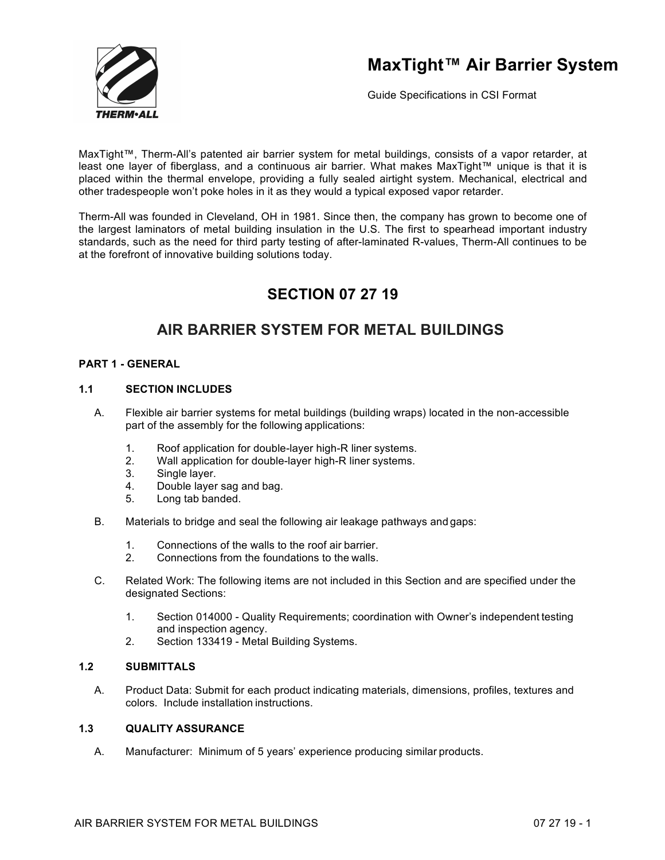

Guide Specifications in CSI Format

MaxTight™, Therm-All's patented air barrier system for metal buildings, consists of a vapor retarder, at least one layer of fiberglass, and a continuous air barrier. What makes MaxTight™ unique is that it is placed within the thermal envelope, providing a fully sealed airtight system. Mechanical, electrical and other tradespeople won't poke holes in it as they would a typical exposed vapor retarder.

Therm-All was founded in Cleveland, OH in 1981. Since then, the company has grown to become one of the largest laminators of metal building insulation in the U.S. The first to spearhead important industry standards, such as the need for third party testing of after-laminated R-values, Therm-All continues to be at the forefront of innovative building solutions today.

### **SECTION 07 27 19**

### **AIR BARRIER SYSTEM FOR METAL BUILDINGS**

### **PART 1 - GENERAL**

### **1.1 SECTION INCLUDES**

- A. Flexible air barrier systems for metal buildings (building wraps) located in the non-accessible part of the assembly for the following applications:
	- 1. Roof application for double-layer high-R liner systems.
	- 2. Wall application for double-layer high-R liner systems.
	- 3. Single layer.
	- 4. Double layer sag and bag.
	- 5. Long tab banded.
- B. Materials to bridge and seal the following air leakage pathways and gaps:
	- 1. Connections of the walls to the roof air barrier.
	- 2. Connections from the foundations to the walls.
- C. Related Work: The following items are not included in this Section and are specified under the designated Sections:
	- 1. Section 014000 Quality Requirements; coordination with Owner's independent testing and inspection agency.
	- 2. Section 133419 Metal Building Systems.

#### **1.2 SUBMITTALS**

A. Product Data: Submit for each product indicating materials, dimensions, profiles, textures and colors. Include installation instructions.

### **1.3 QUALITY ASSURANCE**

A. Manufacturer: Minimum of 5 years' experience producing similar products.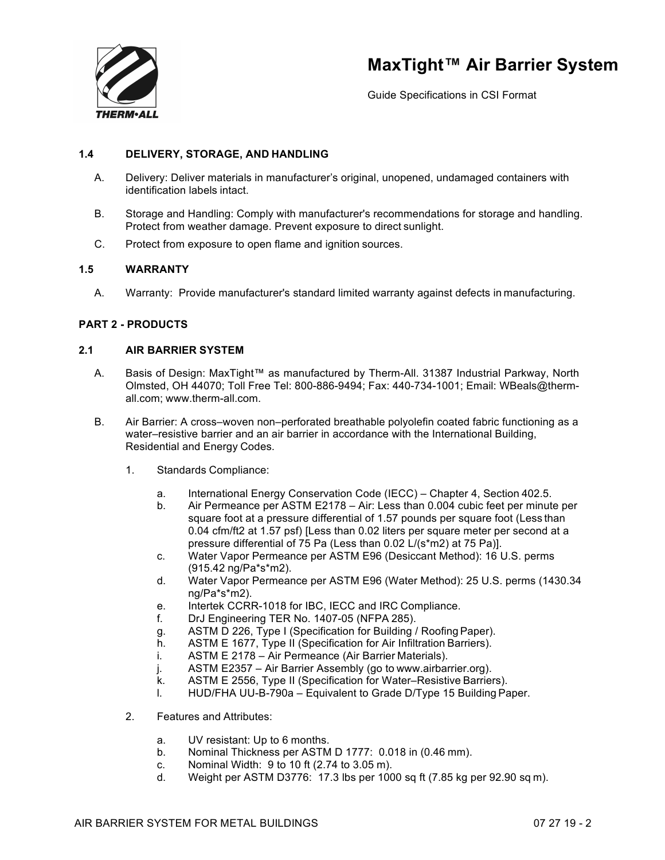

Guide Specifications in CSI Format

### **1.4 DELIVERY, STORAGE, AND HANDLING**

- A. Delivery: Deliver materials in manufacturer's original, unopened, undamaged containers with identification labels intact.
- B. Storage and Handling: Comply with manufacturer's recommendations for storage and handling. Protect from weather damage. Prevent exposure to direct sunlight.
- C. Protect from exposure to open flame and ignition sources.

### **1.5 WARRANTY**

A. Warranty: Provide manufacturer's standard limited warranty against defects in manufacturing.

### **PART 2 - PRODUCTS**

### **2.1 AIR BARRIER SYSTEM**

- A. Basis of Design: MaxTight™ as manufactured by Therm-All. 31387 Industrial Parkway, North Olmsted, OH 44070; Toll Free Tel: 800-886-9494; Fax: 440-734-1001; Email: WBeals@thermall.com; www.therm-all.com.
- B. Air Barrier: A cross–woven non–perforated breathable polyolefin coated fabric functioning as a water–resistive barrier and an air barrier in accordance with the International Building, Residential and Energy Codes.
	- 1. Standards Compliance:
		- a. International Energy Conservation Code (IECC) Chapter 4, Section 402.5.
		- b. Air Permeance per ASTM E2178 Air: Less than 0.004 cubic feet per minute per square foot at a pressure differential of 1.57 pounds per square foot (Less than 0.04 cfm/ft2 at 1.57 psf) [Less than 0.02 liters per square meter per second at a pressure differential of 75 Pa (Less than 0.02 L/(s\*m2) at 75 Pa)].
		- c. Water Vapor Permeance per ASTM E96 (Desiccant Method): 16 U.S. perms (915.42 ng/Pa\*s\*m2).
		- d. Water Vapor Permeance per ASTM E96 (Water Method): 25 U.S. perms (1430.34 ng/Pa\*s\*m2).
		- e. Intertek CCRR-1018 for IBC, IECC and IRC Compliance.
		- f. DrJ Engineering TER No. 1407-05 (NFPA 285).
		- g. ASTM D 226, Type I (Specification for Building / RoofingPaper).
		- h. ASTM E 1677, Type II (Specification for Air Infiltration Barriers).
		- i. ASTM E 2178 Air Permeance (Air Barrier Materials).
		- j. ASTM E2357 Air Barrier Assembly (go to www.airbarrier.org).
		- k. ASTM E 2556, Type II (Specification for Water–Resistive Barriers).
		- l. HUD/FHA UU-B-790a Equivalent to Grade D/Type 15 Building Paper.
	- 2. Features and Attributes:
		- a. UV resistant: Up to 6 months.
		- b. Nominal Thickness per ASTM D 1777: 0.018 in (0.46 mm).
		- c. Nominal Width: 9 to 10 ft (2.74 to 3.05 m).
		- d. Weight per ASTM D3776: 17.3 lbs per 1000 sq ft (7.85 kg per 92.90 sq m).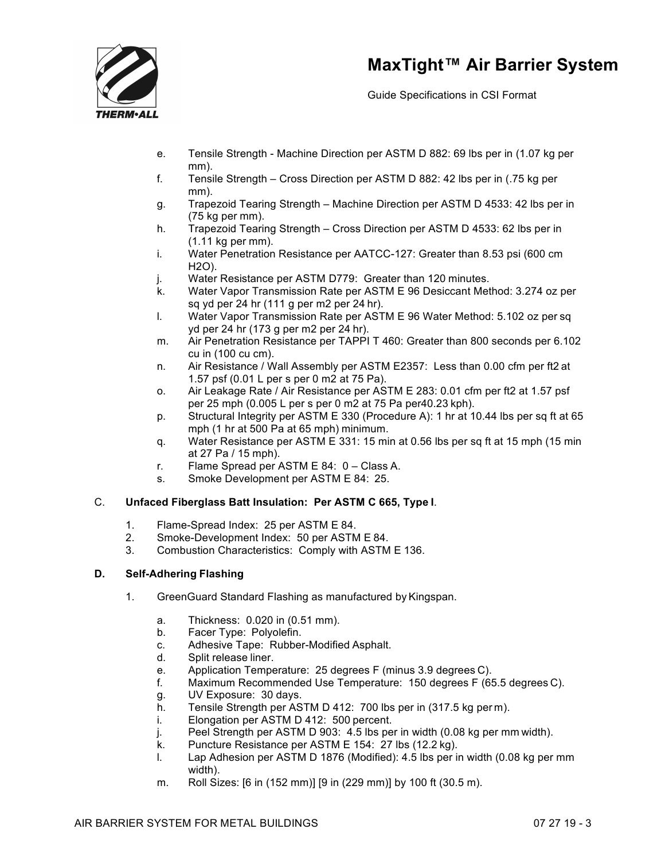

Guide Specifications in CSI Format

- e. Tensile Strength Machine Direction per ASTM D 882: 69 lbs per in (1.07 kg per mm).
- f. Tensile Strength Cross Direction per ASTM D 882: 42 lbs per in (.75 kg per mm).
- g. Trapezoid Tearing Strength Machine Direction per ASTM D 4533: 42 lbs per in (75 kg per mm).
- h. Trapezoid Tearing Strength Cross Direction per ASTM D 4533: 62 lbs per in (1.11 kg per mm).
- i. Water Penetration Resistance per AATCC-127: Greater than 8.53 psi (600 cm H2O).
- j. Water Resistance per ASTM D779: Greater than 120 minutes.
- k. Water Vapor Transmission Rate per ASTM E 96 Desiccant Method: 3.274 oz per sq yd per 24 hr (111 g per m2 per 24 hr).
- l. Water Vapor Transmission Rate per ASTM E 96 Water Method: 5.102 oz per sq yd per 24 hr (173 g per m2 per 24 hr).
- m. Air Penetration Resistance per TAPPI T 460: Greater than 800 seconds per 6.102 cu in (100 cu cm).
- n. Air Resistance / Wall Assembly per ASTM E2357: Less than 0.00 cfm per ft2 at 1.57 psf (0.01 L per s per 0 m2 at 75 Pa).
- o. Air Leakage Rate / Air Resistance per ASTM E 283: 0.01 cfm per ft2 at 1.57 psf per 25 mph (0.005 L per s per 0 m2 at 75 Pa per40.23 kph).
- p. Structural Integrity per ASTM E 330 (Procedure A): 1 hr at 10.44 lbs per sq ft at 65 mph (1 hr at 500 Pa at 65 mph) minimum.
- q. Water Resistance per ASTM E 331: 15 min at 0.56 lbs per sq ft at 15 mph (15 min at 27 Pa / 15 mph).
- r. Flame Spread per ASTM E 84: 0 Class A.
- s. Smoke Development per ASTM E 84: 25.

### C. **Unfaced Fiberglass Batt Insulation: Per ASTM C 665, Type I**.

- 1. Flame-Spread Index: 25 per ASTM E 84.
- 2. Smoke-Development Index: 50 per ASTM E 84.
- 3. Combustion Characteristics: Comply with ASTM E 136.

### **D. Self-Adhering Flashing**

- 1. GreenGuard Standard Flashing as manufactured by Kingspan.
	- a. Thickness: 0.020 in (0.51 mm).
	- b. Facer Type: Polyolefin.
	- c. Adhesive Tape: Rubber-Modified Asphalt.
	- d. Split release liner.
	- e. Application Temperature: 25 degrees F (minus 3.9 degrees C).
	- f. Maximum Recommended Use Temperature: 150 degrees F (65.5 degrees C).
	- g. UV Exposure: 30 days.
	- h. Tensile Strength per ASTM D 412: 700 lbs per in (317.5 kg per m).
	- i. Elongation per ASTM D 412: 500 percent.
	- j. Peel Strength per ASTM D 903: 4.5 lbs per in width (0.08 kg per mm width).
	- k. Puncture Resistance per ASTM E 154: 27 lbs (12.2 kg).
	- l. Lap Adhesion per ASTM D 1876 (Modified): 4.5 lbs per in width (0.08 kg per mm width).
	- m. Roll Sizes: [6 in (152 mm)] [9 in (229 mm)] by 100 ft (30.5 m).